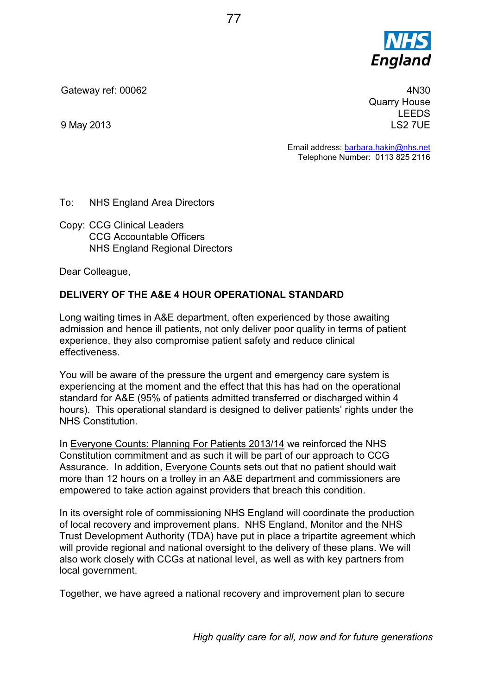

Gateway ref: 00062

9 May 2013

4N30 Quarry House LEEDS LS2 7UE

Email address: barbara.hakin@nhs.net Telephone Number: 0113 825 2116

To: NHS England Area Directors

Copy: CCG Clinical Leaders CCG Accountable Officers NHS England Regional Directors

Dear Colleague,

## **DELIVERY OF THE A&E 4 HOUR OPERATIONAL STANDARD**

Long waiting times in A&E department, often experienced by those awaiting admission and hence ill patients, not only deliver poor quality in terms of patient experience, they also compromise patient safety and reduce clinical effectiveness.

You will be aware of the pressure the urgent and emergency care system is experiencing at the moment and the effect that this has had on the operational standard for A&E (95% of patients admitted transferred or discharged within 4 hours). This operational standard is designed to deliver patients' rights under the NHS Constitution.

In Everyone Counts: Planning For Patients 2013/14 we reinforced the NHS Constitution commitment and as such it will be part of our approach to CCG Assurance. In addition, Everyone Counts sets out that no patient should wait more than 12 hours on a trolley in an A&E department and commissioners are empowered to take action against providers that breach this condition.

In its oversight role of commissioning NHS England will coordinate the production of local recovery and improvement plans. NHS England, Monitor and the NHS Trust Development Authority (TDA) have put in place a tripartite agreement which will provide regional and national oversight to the delivery of these plans. We will also work closely with CCGs at national level, as well as with key partners from local government.

Together, we have agreed a national recovery and improvement plan to secure

*High quality care for all, now and for future generations*